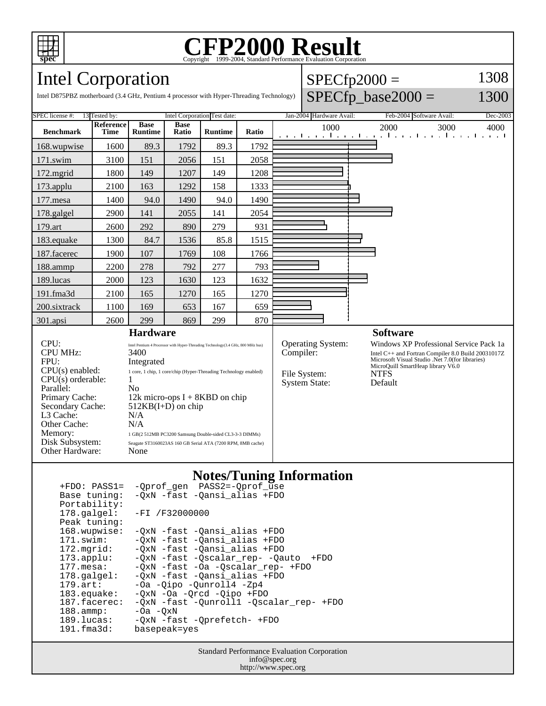

# Copyright ©1999-2004, Standard Performance Evaluation Corporation

 $SPECfp2000 =$ 

1308

## Intel Corporation

| $SPECfp\_base2000 =$<br>1300<br>Intel D875PBZ motherboard (3.4 GHz, Pentium 4 processor with Hyper-Threading Technology)                                                                                                                                                                                                   |                              |                               |                      |                                                                                                                                                                                                                                                                                                                   |       |                          |                                                                                                                                                                                                                                                                                                                     |                          |                                                                              |      |
|----------------------------------------------------------------------------------------------------------------------------------------------------------------------------------------------------------------------------------------------------------------------------------------------------------------------------|------------------------------|-------------------------------|----------------------|-------------------------------------------------------------------------------------------------------------------------------------------------------------------------------------------------------------------------------------------------------------------------------------------------------------------|-------|--------------------------|---------------------------------------------------------------------------------------------------------------------------------------------------------------------------------------------------------------------------------------------------------------------------------------------------------------------|--------------------------|------------------------------------------------------------------------------|------|
| SPEC license #:<br>13 Tested by:                                                                                                                                                                                                                                                                                           | Intel Corporation Test date: |                               |                      |                                                                                                                                                                                                                                                                                                                   |       | Jan-2004 Hardware Avail: |                                                                                                                                                                                                                                                                                                                     | Feb-2004 Software Avail: | Dec-2003                                                                     |      |
| <b>Benchmark</b>                                                                                                                                                                                                                                                                                                           | Reference<br><b>Time</b>     | <b>Base</b><br><b>Runtime</b> | <b>Base</b><br>Ratio | <b>Runtime</b>                                                                                                                                                                                                                                                                                                    | Ratio |                          | 1000                                                                                                                                                                                                                                                                                                                |                          | 2000<br>3000<br>and the machine matrix machine and the machine matrix matrix | 4000 |
| 168.wupwise                                                                                                                                                                                                                                                                                                                | 1600                         | 89.3                          | 1792                 | 89.3                                                                                                                                                                                                                                                                                                              | 1792  |                          |                                                                                                                                                                                                                                                                                                                     |                          |                                                                              |      |
| $171$ .swim                                                                                                                                                                                                                                                                                                                | 3100                         | 151                           | 2056                 | 151                                                                                                                                                                                                                                                                                                               | 2058  |                          |                                                                                                                                                                                                                                                                                                                     |                          |                                                                              |      |
| $172$ . mgrid                                                                                                                                                                                                                                                                                                              | 1800                         | 149                           | 1207                 | 149                                                                                                                                                                                                                                                                                                               | 1208  |                          |                                                                                                                                                                                                                                                                                                                     |                          |                                                                              |      |
| 173.applu                                                                                                                                                                                                                                                                                                                  | 2100                         | 163                           | 1292                 | 158                                                                                                                                                                                                                                                                                                               | 1333  |                          |                                                                                                                                                                                                                                                                                                                     |                          |                                                                              |      |
| $177$ .mesa                                                                                                                                                                                                                                                                                                                | 1400                         | 94.0                          | 1490                 | 94.0                                                                                                                                                                                                                                                                                                              | 1490  |                          |                                                                                                                                                                                                                                                                                                                     |                          |                                                                              |      |
| 178.galgel                                                                                                                                                                                                                                                                                                                 | 2900                         | 141                           | 2055                 | 141                                                                                                                                                                                                                                                                                                               | 2054  |                          |                                                                                                                                                                                                                                                                                                                     |                          |                                                                              |      |
| 179.art                                                                                                                                                                                                                                                                                                                    | 2600                         | 292                           | 890                  | 279                                                                                                                                                                                                                                                                                                               | 931   |                          |                                                                                                                                                                                                                                                                                                                     |                          |                                                                              |      |
| 183.equake                                                                                                                                                                                                                                                                                                                 | 1300                         | 84.7                          | 1536                 | 85.8                                                                                                                                                                                                                                                                                                              | 1515  |                          |                                                                                                                                                                                                                                                                                                                     |                          |                                                                              |      |
| 187.facerec                                                                                                                                                                                                                                                                                                                | 1900                         | 107                           | 1769                 | 108                                                                                                                                                                                                                                                                                                               | 1766  |                          |                                                                                                                                                                                                                                                                                                                     |                          |                                                                              |      |
| 188.ammp                                                                                                                                                                                                                                                                                                                   | 2200                         | 278                           | 792                  | 277                                                                                                                                                                                                                                                                                                               | 793   |                          |                                                                                                                                                                                                                                                                                                                     |                          |                                                                              |      |
| 189.lucas                                                                                                                                                                                                                                                                                                                  | 2000                         | 123                           | 1630                 | 123                                                                                                                                                                                                                                                                                                               | 1632  |                          |                                                                                                                                                                                                                                                                                                                     |                          |                                                                              |      |
| 191.fma3d                                                                                                                                                                                                                                                                                                                  | 2100                         | 165                           | 1270                 | 165                                                                                                                                                                                                                                                                                                               | 1270  |                          |                                                                                                                                                                                                                                                                                                                     |                          |                                                                              |      |
| 200.sixtrack                                                                                                                                                                                                                                                                                                               | 1100                         | 169                           | 653                  | 167                                                                                                                                                                                                                                                                                                               | 659   |                          |                                                                                                                                                                                                                                                                                                                     |                          |                                                                              |      |
| 301.apsi                                                                                                                                                                                                                                                                                                                   | 2600                         | 299                           | 869                  | 299                                                                                                                                                                                                                                                                                                               | 870   |                          |                                                                                                                                                                                                                                                                                                                     |                          |                                                                              |      |
| <b>Hardware</b><br>CPU:<br><b>CPU MHz:</b><br>3400<br>FPU:<br>Integrated<br>$CPU(s)$ enabled:<br>$CPU(s)$ orderable:<br>1<br>Parallel:<br>N <sub>0</sub><br>Primary Cache:<br>Secondary Cache:<br>$512KB(I+D)$ on chip<br>L3 Cache:<br>N/A<br>Other Cache:<br>N/A<br>Memory:<br>Disk Subsystem:<br>Other Hardware:<br>None |                              |                               |                      | Intel Pentium 4 Processor with Hyper-Threading Technology(3.4 GHz, 800 MHz bus)<br>1 core, 1 chip, 1 core/chip (Hyper-Threading Technology enabled)<br>12k micro-ops $I + 8KBD$ on chip<br>1 GB(2 512MB PC3200 Samsung Double-sided CL3-3-3 DIMMs)<br>Seagate ST3160023AS 160 GB Serial ATA (7200 RPM, 8MB cache) |       |                          | <b>Software</b><br><b>Operating System:</b><br>Windows XP Professional Service Pack 1a<br>Compiler:<br>Intel C++ and Fortran Compiler 8.0 Build 20031017Z<br>Microsoft Visual Studio .Net 7.0(for libraries)<br>MicroQuill SmartHeap library V6.0<br>File System:<br><b>NTFS</b><br><b>System State:</b><br>Default |                          |                                                                              |      |

### **Notes/Tuning Information**

| $+FDO: PASS1=$        | -Qprof_gen PASS2=-Qprof_use             |
|-----------------------|-----------------------------------------|
| Base tuning:          | -QxN -fast -Qansi_alias +FDO            |
| Portability:          |                                         |
| $178.\text{qalgel}$ : | $-FI /F32000000$                        |
| Peak tuning:          |                                         |
| 168.wupwise:          | -QxN -fast -Qansi alias +FDO            |
| 171.swim:             | -OxN -fast -Oansi alias +FDO            |
| 172.mgrid:            | -OxN -fast -Oansi alias +FDO            |
| $173.\text{applu}:$   | -QxN -fast -Qscalar rep- -Qauto +FDO    |
| $177.\text{mesa}$ :   | -OxN -fast -Oa -Oscalar rep- +FDO       |
| $178.\text{q}$        | -OxN -fast -Oansi alias +FDO            |
| $179.\text{art}$ :    | -Oa -Oipo -Ounroll4 -Zp4                |
| $183$ .equake:        | $-0xN$ $-0a$ $-0rcd$ $-0ipo$ $+FD0$     |
| 187.facerec:          | -QxN -fast -Qunroll1 -Qscalar_rep- +FDO |
| $188.\text{amm}:$     | $-0a$ $-0xN$                            |
| 189.lucas:            | -OxN -fast -Oprefetch- +FDO             |
| $191.f$ ma $3d$ :     | basepeak=yes                            |

Standard Performance Evaluation Corporation info@spec.org http://www.spec.org